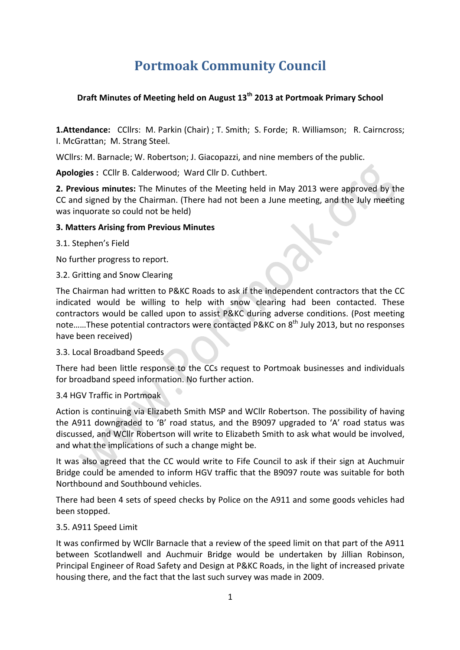# **Portmoak Community Council**

## **Draft Minutes of Meeting held on August 13<sup>th</sup> 2013 at Portmoak Primary School**

**1.Attendance:** CCllrs: M. Parkin (Chair) ; T. Smith; S. Forde; R. Williamson; R. Cairncross; I. McGrattan; M. Strang Steel.

WCllrs: M. Barnacle: W. Robertson: J. Giacopazzi, and nine members of the public.

Apologies : CCllr B. Calderwood; Ward Cllr D. Cuthbert.

**2. Previous minutes:** The Minutes of the Meeting held in May 2013 were approved by the CC and signed by the Chairman. (There had not been a June meeting, and the July meeting was inquorate so could not be held)

#### **3. Matters Arising from Previous Minutes**

#### 3.1. Stephen's Field

No further progress to report.

#### 3.2. Gritting and Snow Clearing

The Chairman had written to P&KC Roads to ask if the independent contractors that the CC indicated would be willing to help with snow clearing had been contacted. These contractors would be called upon to assist P&KC during adverse conditions. (Post meeting note......These potential contractors were contacted P&KC on 8<sup>th</sup> July 2013, but no responses have been received)

#### 3.3. Local Broadband Speeds

There had been little response to the CCs request to Portmoak businesses and individuals for broadband speed information. No further action.

## 3.4 HGV Traffic in Portmoak

Action is continuing via Elizabeth Smith MSP and WCllr Robertson. The possibility of having the A911 downgraded to 'B' road status, and the B9097 upgraded to 'A' road status was discussed, and WCllr Robertson will write to Elizabeth Smith to ask what would be involved, and what the implications of such a change might be.

It was also agreed that the CC would write to Fife Council to ask if their sign at Auchmuir Bridge could be amended to inform HGV traffic that the B9097 route was suitable for both Northbound and Southbound vehicles.

There had been 4 sets of speed checks by Police on the A911 and some goods vehicles had been stopped.

#### 3.5. A911 Speed Limit

It was confirmed by WCllr Barnacle that a review of the speed limit on that part of the A911 between Scotlandwell and Auchmuir Bridge would be undertaken by Jillian Robinson, Principal Engineer of Road Safety and Design at P&KC Roads, in the light of increased private housing there, and the fact that the last such survey was made in 2009.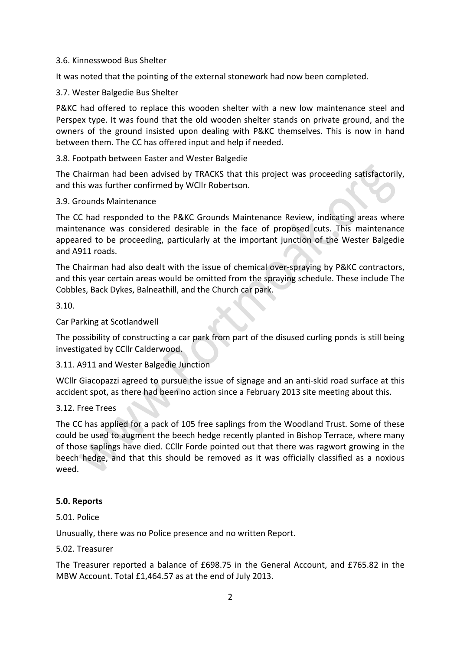#### 3.6. Kinnesswood Bus Shelter

It was noted that the pointing of the external stonework had now been completed.

#### 3.7. Wester Balgedie Bus Shelter

P&KC had offered to replace this wooden shelter with a new low maintenance steel and Perspex type. It was found that the old wooden shelter stands on private ground, and the owners of the ground insisted upon dealing with P&KC themselves. This is now in hand between them. The CC has offered input and help if needed.

#### 3.8. Footpath between Easter and Wester Balgedie

The Chairman had been advised by TRACKS that this project was proceeding satisfactorily, and this was further confirmed by WCllr Robertson.

#### 3.9. Grounds Maintenance

The CC had responded to the P&KC Grounds Maintenance Review, indicating areas where maintenance was considered desirable in the face of proposed cuts. This maintenance appeared to be proceeding, particularly at the important junction of the Wester Balgedie and A911 roads.

The Chairman had also dealt with the issue of chemical over-spraying by P&KC contractors, and this year certain areas would be omitted from the spraying schedule. These include The Cobbles, Back Dykes, Balneathill, and the Church car park.

3.10. 

Car Parking at Scotlandwell

The possibility of constructing a car park from part of the disused curling ponds is still being investigated by CCIIr Calderwood.

#### 3.11. A911 and Wester Balgedie Junction

WCllr Giacopazzi agreed to pursue the issue of signage and an anti-skid road surface at this accident spot, as there had been no action since a February 2013 site meeting about this.

#### 3.12. Free Trees

The CC has applied for a pack of 105 free saplings from the Woodland Trust. Some of these could be used to augment the beech hedge recently planted in Bishop Terrace, where many of those saplings have died. CCllr Forde pointed out that there was ragwort growing in the beech hedge, and that this should be removed as it was officially classified as a noxious weed.

#### **5.0. Reports**

#### 5.01. Police

Unusually, there was no Police presence and no written Report.

#### 5.02. Treasurer

The Treasurer reported a balance of £698.75 in the General Account, and £765.82 in the MBW Account. Total £1,464.57 as at the end of July 2013.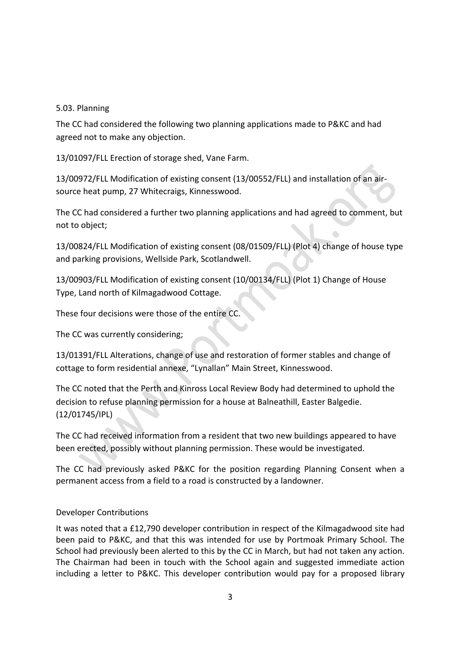## 5.03. Planning

The CC had considered the following two planning applications made to P&KC and had agreed not to make any objection.

13/01097/FLL Erection of storage shed, Vane Farm.

13/00972/FLL Modification of existing consent (13/00552/FLL) and installation of an airsource heat pump, 27 Whitecraigs, Kinnesswood.

The CC had considered a further two planning applications and had agreed to comment, but not to object:

13/00824/FLL Modification of existing consent (08/01509/FLL) (Plot 4) change of house type and parking provisions, Wellside Park, Scotlandwell.

13/00903/FLL Modification of existing consent (10/00134/FLL) (Plot 1) Change of House Type, Land north of Kilmagadwood Cottage.

These four decisions were those of the entire CC.

The CC was currently considering;

13/01391/FLL Alterations, change of use and restoration of former stables and change of cottage to form residential annexe, "Lynallan" Main Street, Kinnesswood.

The CC noted that the Perth and Kinross Local Review Body had determined to uphold the decision to refuse planning permission for a house at Balneathill, Easter Balgedie. (12/01745/IPL)

The CC had received information from a resident that two new buildings appeared to have been erected, possibly without planning permission. These would be investigated.

The CC had previously asked P&KC for the position regarding Planning Consent when a permanent access from a field to a road is constructed by a landowner.

## Developer Contributions

It was noted that a £12,790 developer contribution in respect of the Kilmagadwood site had been paid to P&KC, and that this was intended for use by Portmoak Primary School. The School had previously been alerted to this by the CC in March, but had not taken any action. The Chairman had been in touch with the School again and suggested immediate action including a letter to P&KC. This developer contribution would pay for a proposed library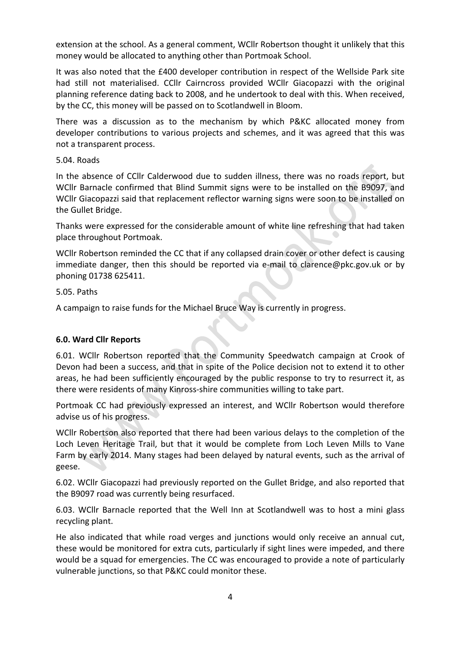extension at the school. As a general comment, WCllr Robertson thought it unlikely that this money would be allocated to anything other than Portmoak School.

It was also noted that the £400 developer contribution in respect of the Wellside Park site had still not materialised. CCllr Cairncross provided WCllr Giacopazzi with the original planning reference dating back to 2008, and he undertook to deal with this. When received, by the CC, this money will be passed on to Scotlandwell in Bloom.

There was a discussion as to the mechanism by which P&KC allocated money from developer contributions to various projects and schemes, and it was agreed that this was not a transparent process.

5.04. Roads

In the absence of CCllr Calderwood due to sudden illness, there was no roads report, but WCllr Barnacle confirmed that Blind Summit signs were to be installed on the B9097, and WCllr Giacopazzi said that replacement reflector warning signs were soon to be installed on the Gullet Bridge.

Thanks were expressed for the considerable amount of white line refreshing that had taken place throughout Portmoak.

WCllr Robertson reminded the CC that if any collapsed drain cover or other defect is causing immediate danger, then this should be reported via e-mail to clarence@pkc.gov.uk or by phoning 01738 625411.

5.05. Paths

A campaign to raise funds for the Michael Bruce Way is currently in progress.

## **6.0. Ward Cllr Reports**

6.01. WCllr Robertson reported that the Community Speedwatch campaign at Crook of Devon had been a success, and that in spite of the Police decision not to extend it to other areas, he had been sufficiently encouraged by the public response to try to resurrect it, as there were residents of many Kinross-shire communities willing to take part.

Portmoak CC had previously expressed an interest, and WCIIr Robertson would therefore advise us of his progress.

WCllr Robertson also reported that there had been various delays to the completion of the Loch Leven Heritage Trail, but that it would be complete from Loch Leven Mills to Vane Farm by early 2014. Many stages had been delayed by natural events, such as the arrival of geese.

6.02. WCllr Giacopazzi had previously reported on the Gullet Bridge, and also reported that the B9097 road was currently being resurfaced.

6.03. WCllr Barnacle reported that the Well Inn at Scotlandwell was to host a mini glass recycling plant.

He also indicated that while road verges and junctions would only receive an annual cut, these would be monitored for extra cuts, particularly if sight lines were impeded, and there would be a squad for emergencies. The CC was encouraged to provide a note of particularly vulnerable junctions, so that P&KC could monitor these.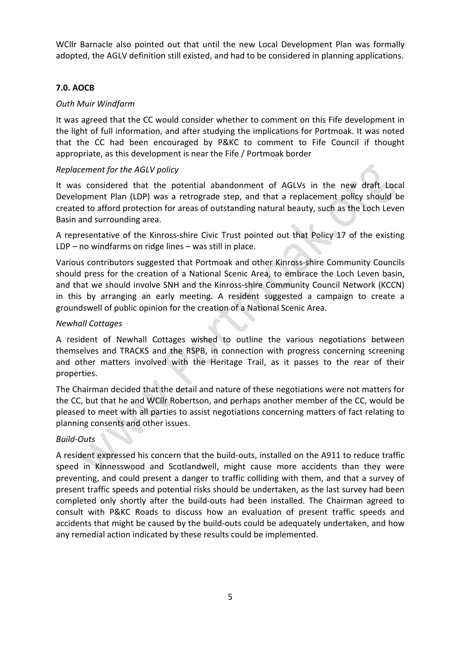WCllr Barnacle also pointed out that until the new Local Development Plan was formally adopted, the AGLV definition still existed, and had to be considered in planning applications.

#### **7.0. AOCB**

#### *Outh Muir Windfarm*

It was agreed that the CC would consider whether to comment on this Fife development in the light of full information, and after studying the implications for Portmoak. It was noted that the CC had been encouraged by P&KC to comment to Fife Council if thought appropriate, as this development is near the Fife / Portmoak border

#### *Replacement for the AGLV policy*

It was considered that the potential abandonment of AGLVs in the new draft Local Development Plan (LDP) was a retrograde step, and that a replacement policy should be created to afford protection for areas of outstanding natural beauty, such as the Loch Leven Basin and surrounding area.

A representative of the Kinross-shire Civic Trust pointed out that Policy 17 of the existing LDP – no windfarms on ridge lines – was still in place.

Various contributors suggested that Portmoak and other Kinross-shire Community Councils should press for the creation of a National Scenic Area, to embrace the Loch Leven basin, and that we should involve SNH and the Kinross-shire Community Council Network (KCCN) in this by arranging an early meeting. A resident suggested a campaign to create a groundswell of public opinion for the creation of a National Scenic Area.

#### *Newhall Cottages*

A resident of Newhall Cottages wished to outline the various negotiations between themselves and TRACKS and the RSPB, in connection with progress concerning screening and other matters involved with the Heritage Trail, as it passes to the rear of their properties.

The Chairman decided that the detail and nature of these negotiations were not matters for the CC, but that he and WCllr Robertson, and perhaps another member of the CC, would be pleased to meet with all parties to assist negotiations concerning matters of fact relating to planning consents and other issues.

## *Build-Outs*

A resident expressed his concern that the build-outs, installed on the A911 to reduce traffic speed in Kinnesswood and Scotlandwell, might cause more accidents than they were preventing, and could present a danger to traffic colliding with them, and that a survey of present traffic speeds and potential risks should be undertaken, as the last survey had been completed only shortly after the build-outs had been installed. The Chairman agreed to consult with P&KC Roads to discuss how an evaluation of present traffic speeds and accidents that might be caused by the build-outs could be adequately undertaken, and how any remedial action indicated by these results could be implemented.